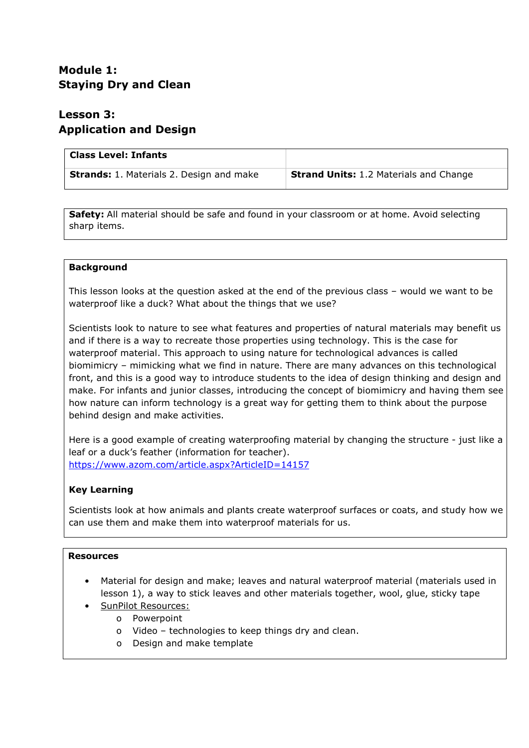# **Module 1: Staying Dry and Clean**

# **Lesson 3: Application and Design**

| <b>Class Level: Infants</b>                     |                                               |
|-------------------------------------------------|-----------------------------------------------|
| <b>Strands:</b> 1. Materials 2. Design and make | <b>Strand Units: 1.2 Materials and Change</b> |

**Safety:** All material should be safe and found in your classroom or at home. Avoid selecting sharp items.

## **Background**

This lesson looks at the question asked at the end of the previous class – would we want to be waterproof like a duck? What about the things that we use?

Scientists look to nature to see what features and properties of natural materials may benefit us and if there is a way to recreate those properties using technology. This is the case for waterproof material. This approach to using nature for technological advances is called biomimicry – mimicking what we find in nature. There are many advances on this technological front, and this is a good way to introduce students to the idea of design thinking and design and make. For infants and junior classes, introducing the concept of biomimicry and having them see how nature can inform technology is a great way for getting them to think about the purpose behind design and make activities.

Here is a good example of creating waterproofing material by changing the structure - just like a leaf or a duck's feather (information for teacher). <https://www.azom.com/article.aspx?ArticleID=14157>

## **Key Learning**

Scientists look at how animals and plants create waterproof surfaces or coats, and study how we can use them and make them into waterproof materials for us.

## **Resources**

- Material for design and make; leaves and natural waterproof material (materials used in lesson 1), a way to stick leaves and other materials together, wool, glue, sticky tape
	- SunPilot Resources:
		- o Powerpoint
		- o Video technologies to keep things dry and clean.
		- o Design and make template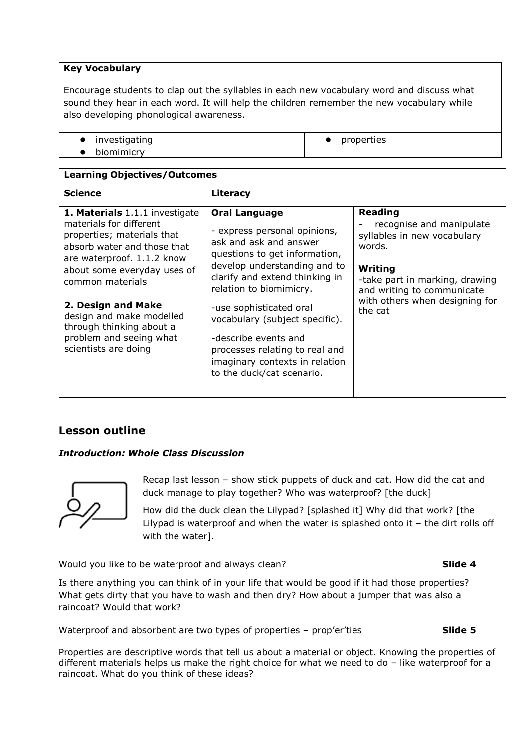## **Key Vocabulary**

Encourage students to clap out the syllables in each new vocabulary word and discuss what sound they hear in each word. It will help the children remember the new vocabulary while also developing phonological awareness.

| investigating | properties |
|---------------|------------|
| ັງmimicry     |            |

| <b>Learning Objectives/Outcomes</b>                                                                                                                                                                                                                                                                                                      |                                                                                                                                                                                                                                                                                                                                                                                                    |                                                                                                                                                                                                             |  |  |  |
|------------------------------------------------------------------------------------------------------------------------------------------------------------------------------------------------------------------------------------------------------------------------------------------------------------------------------------------|----------------------------------------------------------------------------------------------------------------------------------------------------------------------------------------------------------------------------------------------------------------------------------------------------------------------------------------------------------------------------------------------------|-------------------------------------------------------------------------------------------------------------------------------------------------------------------------------------------------------------|--|--|--|
| <b>Science</b>                                                                                                                                                                                                                                                                                                                           | Literacy                                                                                                                                                                                                                                                                                                                                                                                           |                                                                                                                                                                                                             |  |  |  |
| 1. Materials 1.1.1 investigate<br>materials for different<br>properties; materials that<br>absorb water and those that<br>are waterproof. 1.1.2 know<br>about some everyday uses of<br>common materials<br>2. Design and Make<br>design and make modelled<br>through thinking about a<br>problem and seeing what<br>scientists are doing | <b>Oral Language</b><br>- express personal opinions,<br>ask and ask and answer<br>questions to get information,<br>develop understanding and to<br>clarify and extend thinking in<br>relation to biomimicry.<br>-use sophisticated oral<br>vocabulary (subject specific).<br>-describe events and<br>processes relating to real and<br>imaginary contexts in relation<br>to the duck/cat scenario. | <b>Reading</b><br>recognise and manipulate<br>syllables in new vocabulary<br>words.<br>Writing<br>-take part in marking, drawing<br>and writing to communicate<br>with others when designing for<br>the cat |  |  |  |

## **Lesson outline**

## *Introduction: Whole Class Discussion*



Recap last lesson – show stick puppets of duck and cat. How did the cat and duck manage to play together? Who was waterproof? [the duck]

How did the duck clean the Lilypad? [splashed it] Why did that work? [the Lilypad is waterproof and when the water is splashed onto it – the dirt rolls off with the water].

Would you like to be waterproof and always clean? **Slide 4** 

Is there anything you can think of in your life that would be good if it had those properties? What gets dirty that you have to wash and then dry? How about a jumper that was also a raincoat? Would that work?

Waterproof and absorbent are two types of properties – prop'er'ties **Slide 5** 

Properties are descriptive words that tell us about a material or object. Knowing the properties of different materials helps us make the right choice for what we need to do – like waterproof for a raincoat. What do you think of these ideas?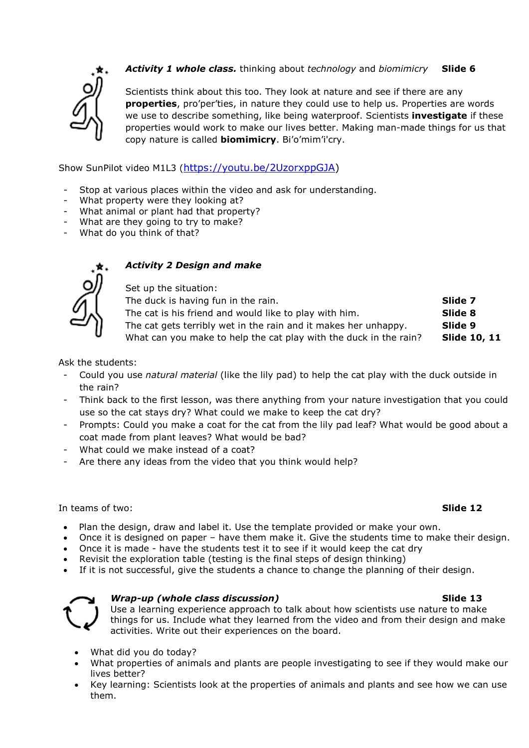

## *Activity 1 whole class.* thinking about *technology* and *biomimicry* **Slide 6**

Scientists think about this too. They look at nature and see if there are any **properties**, pro'per'ties, in nature they could use to help us. Properties are words we use to describe something, like being waterproof. Scientists **investigate** if these properties would work to make our lives better. Making man-made things for us that copy nature is called **biomimicry**. Bi'o'mim'i'cry.

Show SunPilot video M1L3 [\(https://youtu.be/2UzorxppGJA\)](https://youtu.be/2UzorxppGJA)

- Stop at various places within the video and ask for understanding.
- What property were they looking at?
- What animal or plant had that property?
- What are they going to try to make?
- What do you think of that?



## *Activity 2 Design and make*

Set up the situation: The duck is having fun in the rain. **Slide 7** The cat is his friend and would like to play with him. **Slide 8** The cat gets terribly wet in the rain and it makes her unhappy. **Slide 9** What can you make to help the cat play with the duck in the rain? **Slide 10, 11** 

Ask the students:

- Could you use *natural material* (like the lily pad) to help the cat play with the duck outside in the rain?
- Think back to the first lesson, was there anything from your nature investigation that you could use so the cat stays dry? What could we make to keep the cat dry?
- Prompts: Could you make a coat for the cat from the lily pad leaf? What would be good about a coat made from plant leaves? What would be bad?
- What could we make instead of a coat?
- Are there any ideas from the video that you think would help?

#### In teams of two: **Slide 12**

- Plan the design, draw and label it. Use the template provided or make your own.
- Once it is designed on paper have them make it. Give the students time to make their design.
- Once it is made have the students test it to see if it would keep the cat dry
- Revisit the exploration table (testing is the final steps of design thinking)
- If it is not successful, give the students a chance to change the planning of their design.



## *Wrap-up (whole class discussion)* **Slide 13**

Use a learning experience approach to talk about how scientists use nature to make things for us. Include what they learned from the video and from their design and make activities. Write out their experiences on the board.

- What did you do today?
- What properties of animals and plants are people investigating to see if they would make our lives better?
- Key learning: Scientists look at the properties of animals and plants and see how we can use them.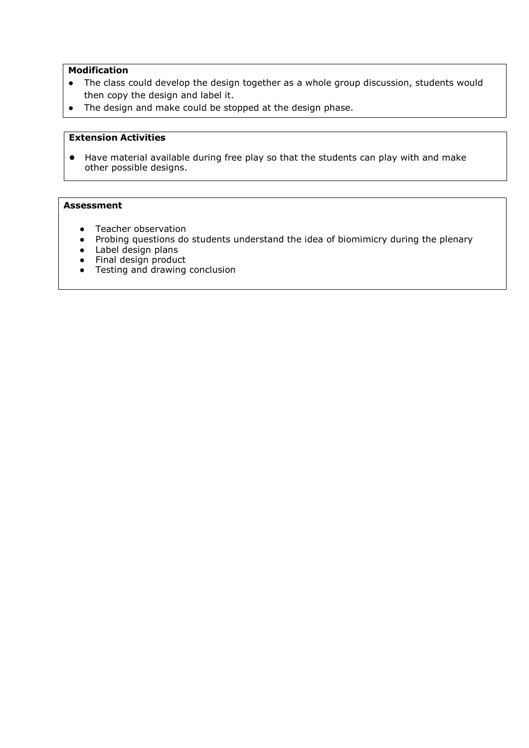## **Modification**

- The class could develop the design together as a whole group discussion, students would then copy the design and label it.
- The design and make could be stopped at the design phase.

## **Extension Activities**

● Have material available during free play so that the students can play with and make other possible designs.

#### **Assessment**

- Teacher observation
- Probing questions do students understand the idea of biomimicry during the plenary
- Label design plans
- Final design product
- Testing and drawing conclusion